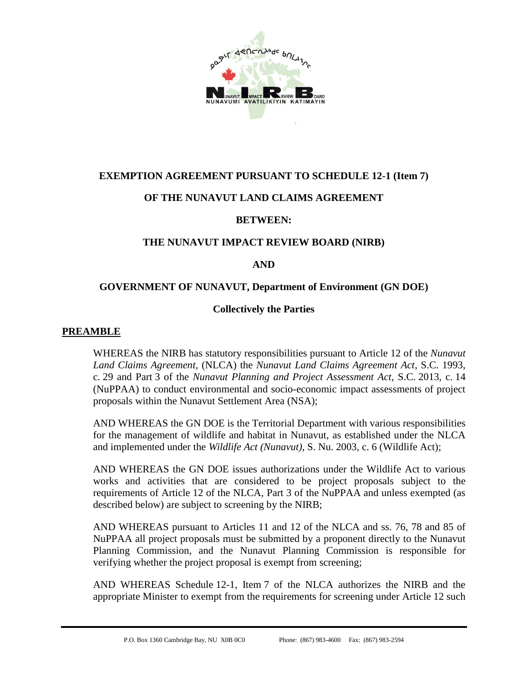

## **EXEMPTION AGREEMENT PURSUANT TO SCHEDULE 12-1 (Item 7)**

## **OF THE NUNAVUT LAND CLAIMS AGREEMENT**

## **BETWEEN:**

#### **THE NUNAVUT IMPACT REVIEW BOARD (NIRB)**

#### <span id="page-0-0"></span>**AND**

#### **GOVERNMENT OF NUNAVUT, Department of Environment (GN DOE)**

#### **Collectively the Parties**

#### **PREAMBLE**

WHEREAS the NIRB has statutory responsibilities pursuant to Article 12 of the *Nunavut Land Claims Agreement,* (NLCA) the *Nunavut Land Claims Agreement Act*, S.C. 1993, c. 29 and Part 3 of the *Nunavut Planning and Project Assessment Act*, S.C. 2013, c. 14 (NuPPAA) to conduct environmental and socio-economic impact assessments of project proposals within the Nunavut Settlement Area (NSA);

AND WHEREAS the [GN DOE](#page-0-0) is the Territorial Department with various responsibilities for the management of wildlife and habitat in Nunavut, as established under the NLCA and implemented under the *Wildlife Act (Nunavut)*, S. Nu. 2003, c. 6 (Wildlife Act);

AND WHEREAS the [GN DOE](#page-0-0) issues authorizations under the Wildlife Act to various works and activities that are considered to be project proposals subject to the requirements of Article 12 of the NLCA, Part 3 of the NuPPAA and unless exempted (as described below) are subject to screening by the NIRB;

AND WHEREAS pursuant to Articles 11 and 12 of the NLCA and ss. 76, 78 and 85 of NuPPAA all project proposals must be submitted by a proponent directly to the Nunavut Planning Commission, and the Nunavut Planning Commission is responsible for verifying whether the project proposal is exempt from screening;

AND WHEREAS Schedule 12-1, Item 7 of the NLCA authorizes the NIRB and the appropriate Minister to exempt from the requirements for screening under Article 12 such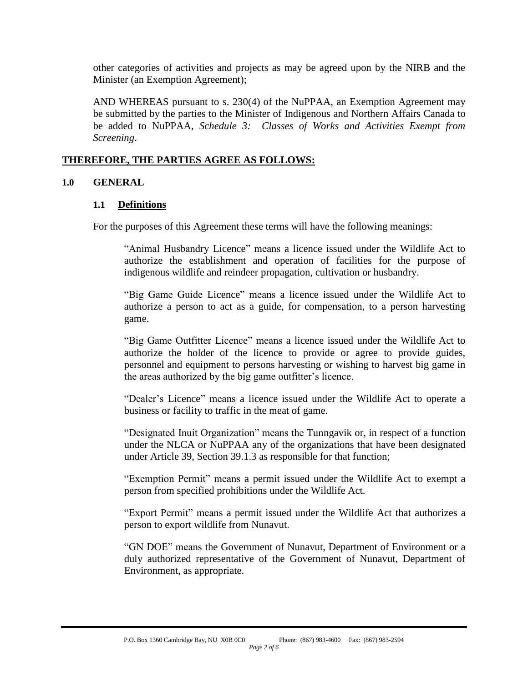other categories of activities and projects as may be agreed upon by the NIRB and the Minister (an Exemption Agreement);

AND WHEREAS pursuant to s. 230(4) of the NuPPAA, an Exemption Agreement may be submitted by the parties to the Minister of Indigenous and Northern Affairs Canada to be added to NuPPAA, *Schedule 3: Classes of Works and Activities Exempt from Screening*.

#### **THEREFORE, THE PARTIES AGREE AS FOLLOWS:**

#### **1.0 GENERAL**

#### **1.1 Definitions**

For the purposes of this Agreement these terms will have the following meanings:

"Animal Husbandry Licence" means a licence issued under the Wildlife Act to authorize the establishment and operation of facilities for the purpose of indigenous wildlife and reindeer propagation, cultivation or husbandry.

"Big Game Guide Licence" means a licence issued under the Wildlife Act to authorize a person to act as a guide, for compensation, to a person harvesting game.

"Big Game Outfitter Licence" means a licence issued under the Wildlife Act to authorize the holder of the licence to provide or agree to provide guides, personnel and equipment to persons harvesting or wishing to harvest big game in the areas authorized by the big game outfitter's licence.

"Dealer's Licence" means a licence issued under the Wildlife Act to operate a business or facility to traffic in the meat of game.

"Designated Inuit Organization" means the Tunngavik or, in respect of a function under the NLCA or NuPPAA any of the organizations that have been designated under Article 39, Section 39.1.3 as responsible for that function;

"Exemption Permit" means a permit issued under the Wildlife Act to exempt a person from specified prohibitions under the Wildlife Act.

"Export Permit" means a permit issued under the Wildlife Act that authorizes a person to export wildlife from Nunavut.

"GN DOE" means the Government of Nunavut, Department of Environment or a duly authorized representative of the Government of Nunavut, Department of Environment, as appropriate.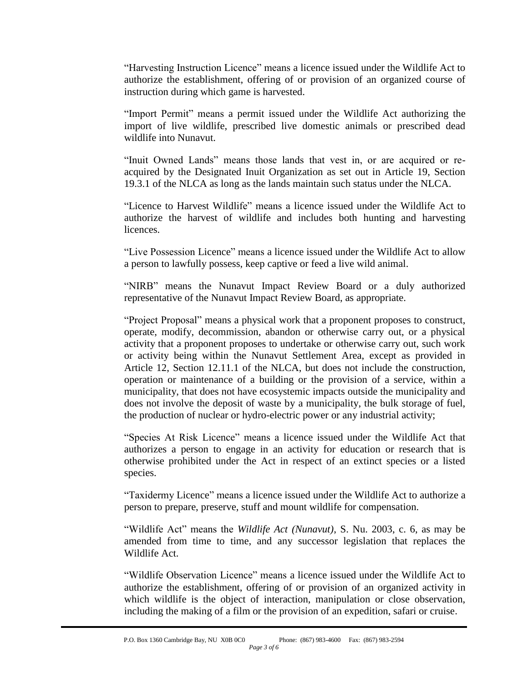"Harvesting Instruction Licence" means a licence issued under the Wildlife Act to authorize the establishment, offering of or provision of an organized course of instruction during which game is harvested.

"Import Permit" means a permit issued under the Wildlife Act authorizing the import of live wildlife, prescribed live domestic animals or prescribed dead wildlife into Nunavut.

"Inuit Owned Lands" means those lands that vest in, or are acquired or reacquired by the Designated Inuit Organization as set out in Article 19, Section 19.3.1 of the NLCA as long as the lands maintain such status under the NLCA.

"Licence to Harvest Wildlife" means a licence issued under the Wildlife Act to authorize the harvest of wildlife and includes both hunting and harvesting licences.

"Live Possession Licence" means a licence issued under the Wildlife Act to allow a person to lawfully possess, keep captive or feed a live wild animal.

"NIRB" means the Nunavut Impact Review Board or a duly authorized representative of the Nunavut Impact Review Board, as appropriate.

"Project Proposal" means a physical work that a proponent proposes to construct, operate, modify, decommission, abandon or otherwise carry out, or a physical activity that a proponent proposes to undertake or otherwise carry out, such work or activity being within the Nunavut Settlement Area, except as provided in Article 12, Section 12.11.1 of the NLCA, but does not include the construction, operation or maintenance of a building or the provision of a service, within a municipality, that does not have ecosystemic impacts outside the municipality and does not involve the deposit of waste by a municipality, the bulk storage of fuel, the production of nuclear or hydro-electric power or any industrial activity;

"Species At Risk Licence" means a licence issued under the Wildlife Act that authorizes a person to engage in an activity for education or research that is otherwise prohibited under the Act in respect of an extinct species or a listed species.

"Taxidermy Licence" means a licence issued under the Wildlife Act to authorize a person to prepare, preserve, stuff and mount wildlife for compensation.

"Wildlife Act" means the *Wildlife Act (Nunavut)*, S. Nu. 2003, c. 6, as may be amended from time to time, and any successor legislation that replaces the Wildlife Act.

"Wildlife Observation Licence" means a licence issued under the Wildlife Act to authorize the establishment, offering of or provision of an organized activity in which wildlife is the object of interaction, manipulation or close observation, including the making of a film or the provision of an expedition, safari or cruise.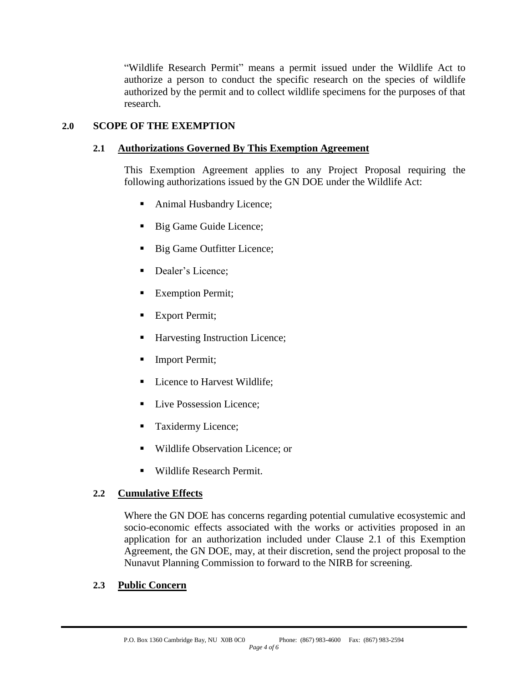"Wildlife Research Permit" means a permit issued under the Wildlife Act to authorize a person to conduct the specific research on the species of wildlife authorized by the permit and to collect wildlife specimens for the purposes of that research.

# <span id="page-3-0"></span>**2.0 SCOPE OF THE EXEMPTION**

## **2.1 Authorizations Governed By This Exemption Agreement**

This Exemption Agreement applies to any Project Proposal requiring the following authorizations issued by the [GN DOE](#page-0-0) under the Wildlife Act:

- Animal Husbandry Licence;
- Big Game Guide Licence;
- Big Game Outfitter Licence;
- Dealer's Licence;
- Exemption Permit;
- Export Permit;
- Harvesting Instruction Licence;
- Import Permit;
- Licence to Harvest Wildlife;
- Live Possession Licence;
- Taxidermy Licence;
- Wildlife Observation Licence; or
- Wildlife Research Permit.

## **2.2 Cumulative Effects**

Where the [GN DOE](#page-0-0) has concerns regarding potential cumulative ecosystemic and socio-economic effects associated with the works or activities proposed in an application for an authorization included under Clause [2.1](#page-3-0) of this Exemption Agreement, the [GN DOE,](#page-0-0) may, at their discretion, send the project proposal to the Nunavut Planning Commission to forward to the NIRB for screening.

#### **2.3 Public Concern**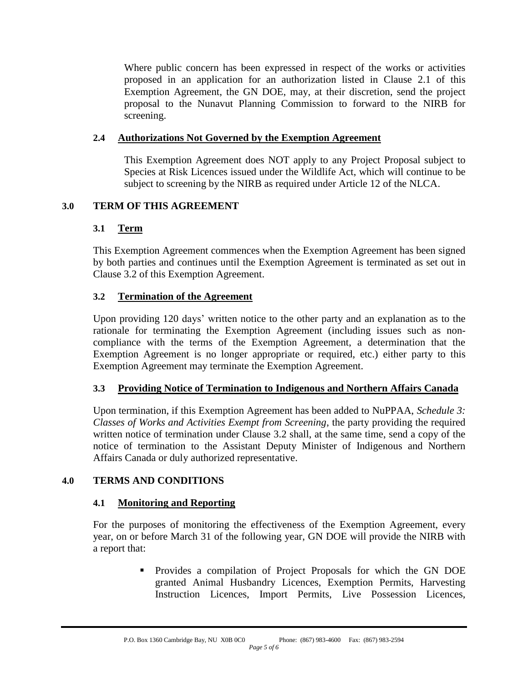Where public concern has been expressed in respect of the works or activities proposed in an application for an authorization listed in Clause [2.1](#page-3-0) of this Exemption Agreement, the [GN DOE,](#page-0-0) may, at their discretion, send the project proposal to the Nunavut Planning Commission to forward to the NIRB for screening.

## **2.4 Authorizations Not Governed by the Exemption Agreement**

This Exemption Agreement does NOT apply to any Project Proposal subject to Species at Risk Licences issued under the Wildlife Act, which will continue to be subject to screening by the NIRB as required under Article 12 of the NLCA.

## **3.0 TERM OF THIS AGREEMENT**

## **3.1 Term**

This Exemption Agreement commences when the Exemption Agreement has been signed by both parties and continues until the Exemption Agreement is terminated as set out in Clause [3.2](#page-4-0) of this Exemption Agreement.

## <span id="page-4-0"></span>**3.2 Termination of the Agreement**

Upon providing 120 days' written notice to the other party and an explanation as to the rationale for terminating the Exemption Agreement (including issues such as noncompliance with the terms of the Exemption Agreement, a determination that the Exemption Agreement is no longer appropriate or required, etc.) either party to this Exemption Agreement may terminate the Exemption Agreement.

## **3.3 Providing Notice of Termination to Indigenous and Northern Affairs Canada**

Upon termination, if this Exemption Agreement has been added to NuPPAA, *Schedule 3: Classes of Works and Activities Exempt from Screening*, the party providing the required written notice of termination under Clause [3.2](#page-4-0) shall, at the same time, send a copy of the notice of termination to the Assistant Deputy Minister of Indigenous and Northern Affairs Canada or duly authorized representative.

## **4.0 TERMS AND CONDITIONS**

## **4.1 Monitoring and Reporting**

For the purposes of monitoring the effectiveness of the Exemption Agreement, every year, on or before March 31 of the following year, [GN DOE](#page-0-0) will provide the NIRB with a report that:

> Provides a compilation of Project Proposals for which the [GN DOE](#page-0-0) granted Animal Husbandry Licences, Exemption Permits, Harvesting Instruction Licences, Import Permits, Live Possession Licences,